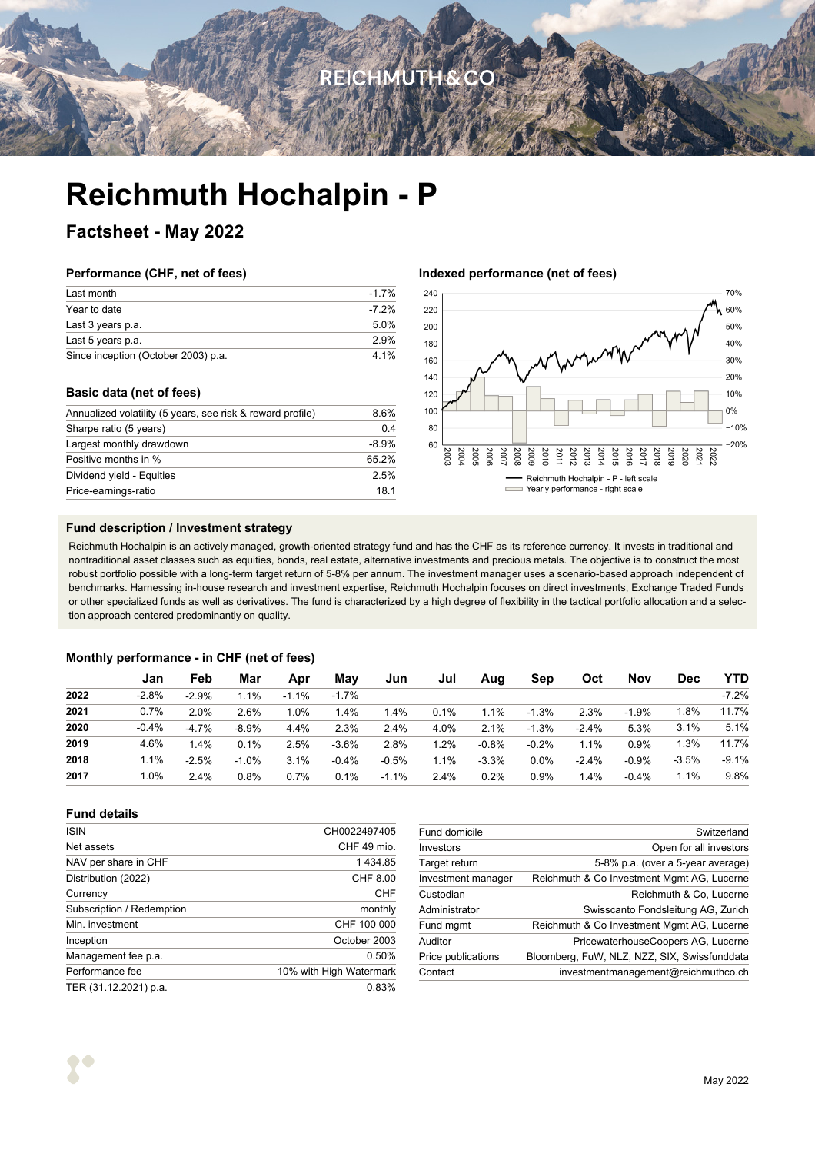# **REICHMUTH&CO**

# **Reichmuth Hochalpin - P**

### **Factsheet - May 2022**

### **Performance (CHF, net of fees)**

| Last month                          | $-17%$   |
|-------------------------------------|----------|
| Year to date                        | $-7.2\%$ |
| Last 3 years p.a.                   | 50%      |
| Last 5 years p.a.                   | 2.9%     |
| Since inception (October 2003) p.a. | 4 1%     |

### **Basic data (net of fees)**

| Annualized volatility (5 years, see risk & reward profile) | 8.6%           |
|------------------------------------------------------------|----------------|
| Sharpe ratio (5 years)                                     | 0 <sub>4</sub> |
| Largest monthly drawdown                                   | $-8.9%$        |
| Positive months in %                                       | 65.2%          |
| Dividend yield - Equities                                  | 2.5%           |
| Price-earnings-ratio                                       | 18.1           |
|                                                            |                |

### **Indexed performance (net of fees)**



### **Fund description / Investment strategy**

Reichmuth Hochalpin is an actively managed, growth-oriented strategy fund and has the CHF as its reference currency. It invests in traditional and nontraditional asset classes such as equities, bonds, real estate, alternative investments and precious metals. The objective is to construct the most robust portfolio possible with a long-term target return of 5-8% per annum. The investment manager uses a scenario-based approach independent of benchmarks. Harnessing in-house research and investment expertise, Reichmuth Hochalpin focuses on direct investments, Exchange Traded Funds or other specialized funds as well as derivatives. The fund is characterized by a high degree of flexibility in the tactical portfolio allocation and a selection approach centered predominantly on quality.

### **Monthly performance - in CHF (net of fees)**

|      | Jan     | Feb     | Mar     | Apr     | May     | Jun     | Jul  | Aug     | Sep     | <b>Oct</b> | Nov     | <b>Dec</b> | YTD     |
|------|---------|---------|---------|---------|---------|---------|------|---------|---------|------------|---------|------------|---------|
| 2022 | $-2.8%$ | $-2.9%$ | 1.1%    | $-1.1%$ | $-1.7%$ |         |      |         |         |            |         |            | $-7.2%$ |
| 2021 | 0.7%    | 2.0%    | 2.6%    | 1.0%    | 1.4%    | 1.4%    | 0.1% | 1.1%    | $-1.3%$ | 2.3%       | $-1.9%$ | 1.8%       | 11.7%   |
| 2020 | $-0.4%$ | $-4.7%$ | $-8.9%$ | 4.4%    | 2.3%    | 2.4%    | 4.0% | 2.1%    | $-1.3%$ | $-2.4%$    | 5.3%    | 3.1%       | 5.1%    |
| 2019 | 4.6%    | 1.4%    | 0.1%    | 2.5%    | $-3.6%$ | 2.8%    | 1.2% | $-0.8%$ | $-0.2%$ | 1.1%       | 0.9%    | 1.3%       | 11.7%   |
| 2018 | 1.1%    | $-2.5%$ | $-1.0%$ | 3.1%    | $-0.4%$ | $-0.5%$ | 1.1% | $-3.3%$ | $0.0\%$ | $-2.4%$    | $-0.9%$ | $-3.5%$    | $-9.1%$ |
| 2017 | $.0\%$  | 2.4%    | 0.8%    | 0.7%    | 0.1%    | $-1.1%$ | 2.4% | 0.2%    | 0.9%    | 1.4%       | $-0.4%$ | 1.1%       | 9.8%    |

### **Fund details**

| <b>ISIN</b>               | CH0022497405            |
|---------------------------|-------------------------|
|                           |                         |
| Net assets                | CHF 49 mio.             |
| NAV per share in CHF      | 1434.85                 |
| Distribution (2022)       | CHF 8.00                |
| Currency                  | CHF                     |
| Subscription / Redemption | monthly                 |
| Min. investment           | CHF 100 000             |
| Inception                 | October 2003            |
| Management fee p.a.       | 0.50%                   |
| Performance fee           | 10% with High Watermark |
| TER (31.12.2021) p.a.     | 0.83%                   |
|                           |                         |

| Fund domicile      | Switzerland                                  |
|--------------------|----------------------------------------------|
| Investors          | Open for all investors                       |
| Target return      | 5-8% p.a. (over a 5-year average)            |
| Investment manager | Reichmuth & Co Investment Mgmt AG, Lucerne   |
| Custodian          | Reichmuth & Co. Lucerne                      |
| Administrator      | Swisscanto Fondsleitung AG, Zurich           |
| Fund mgmt          | Reichmuth & Co Investment Mgmt AG, Lucerne   |
| Auditor            | PricewaterhouseCoopers AG, Lucerne           |
| Price publications | Bloomberg, FuW, NLZ, NZZ, SIX, Swissfunddata |
| Contact            | investmentmanagement@reichmuthco.ch          |
|                    |                                              |